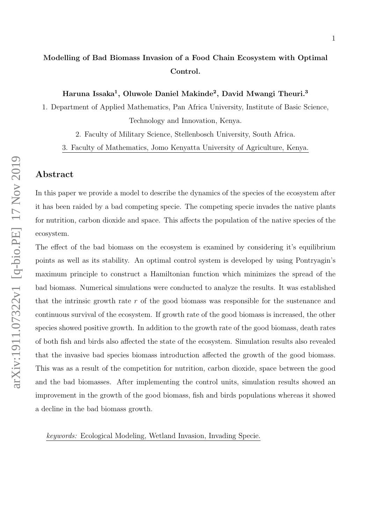# Modelling of Bad Biomass Invasion of a Food Chain Ecosystem with Optimal Control.

Haruna Issaka<sup>1</sup>, Oluwole Daniel Makinde<sup>2</sup>, David Mwangi Theuri.<sup>3</sup>

1. Department of Applied Mathematics, Pan Africa University, Institute of Basic Science, Technology and Innovation, Kenya.

2. Faculty of Military Science, Stellenbosch University, South Africa.

3. Faculty of Mathematics, Jomo Kenyatta University of Agriculture, Kenya.

### Abstract

In this paper we provide a model to describe the dynamics of the species of the ecosystem after it has been raided by a bad competing specie. The competing specie invades the native plants for nutrition, carbon dioxide and space. This affects the population of the native species of the ecosystem.

The effect of the bad biomass on the ecosystem is examined by considering it's equilibrium points as well as its stability. An optimal control system is developed by using Pontryagin's maximum principle to construct a Hamiltonian function which minimizes the spread of the bad biomass. Numerical simulations were conducted to analyze the results. It was established that the intrinsic growth rate  $r$  of the good biomass was responsible for the sustenance and continuous survival of the ecosystem. If growth rate of the good biomass is increased, the other species showed positive growth. In addition to the growth rate of the good biomass, death rates of both fish and birds also affected the state of the ecosystem. Simulation results also revealed that the invasive bad species biomass introduction affected the growth of the good biomass. This was as a result of the competition for nutrition, carbon dioxide, space between the good and the bad biomasses. After implementing the control units, simulation results showed an improvement in the growth of the good biomass, fish and birds populations whereas it showed a decline in the bad biomass growth.

keywords: Ecological Modeling, Wetland Invasion, Invading Specie.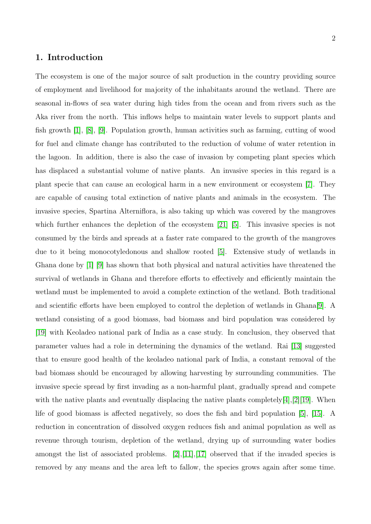### 1. Introduction

The ecosystem is one of the major source of salt production in the country providing source of employment and livelihood for majority of the inhabitants around the wetland. There are seasonal in-flows of sea water during high tides from the ocean and from rivers such as the Aka river from the north. This inflows helps to maintain water levels to support plants and fish growth [\[1\]](#page-17-0), [\[8\]](#page-17-1), [\[9\]](#page-17-2). Population growth, human activities such as farming, cutting of wood for fuel and climate change has contributed to the reduction of volume of water retention in the lagoon. In addition, there is also the case of invasion by competing plant species which has displaced a substantial volume of native plants. An invasive species in this regard is a plant specie that can cause an ecological harm in a new environment or ecosystem [\[7\]](#page-17-3). They are capable of causing total extinction of native plants and animals in the ecosystem. The invasive species, Spartina Alterniflora, is also taking up which was covered by the mangroves which further enhances the depletion of the ecosystem [\[21\]](#page-19-0) [\[5\]](#page-17-4). This invasive species is not consumed by the birds and spreads at a faster rate compared to the growth of the mangroves due to it being monocotyledonous and shallow rooted [\[5\]](#page-17-4). Extensive study of wetlands in Ghana done by [\[1\]](#page-17-0) [\[9\]](#page-17-2) has shown that both physical and natural activities have threatened the survival of wetlands in Ghana and therefore efforts to effectively and efficiently maintain the wetland must be implemented to avoid a complete extinction of the wetland. Both traditional and scientific efforts have been employed to control the depletion of wetlands in Ghana[\[9\]](#page-17-2). A wetland consisting of a good biomass, bad biomass and bird population was considered by [\[19\]](#page-18-0) with Keoladeo national park of India as a case study. In conclusion, they observed that parameter values had a role in determining the dynamics of the wetland. Rai [\[13\]](#page-18-1) suggested that to ensure good health of the keoladeo national park of India, a constant removal of the bad biomass should be encouraged by allowing harvesting by surrounding communities. The invasive specie spread by first invading as a non-harmful plant, gradually spread and compete with the native plants and eventually displacing the native plants completely[\[4\]](#page-17-5),[\[2\]](#page-17-6)[\[19\]](#page-18-0). When life of good biomass is affected negatively, so does the fish and bird population [\[5\]](#page-17-4), [\[15\]](#page-18-2). A reduction in concentration of dissolved oxygen reduces fish and animal population as well as revenue through tourism, depletion of the wetland, drying up of surrounding water bodies amongst the list of associated problems. [\[2\]](#page-17-6),[\[11\]](#page-18-3),[\[17\]](#page-18-4) observed that if the invaded species is removed by any means and the area left to fallow, the species grows again after some time.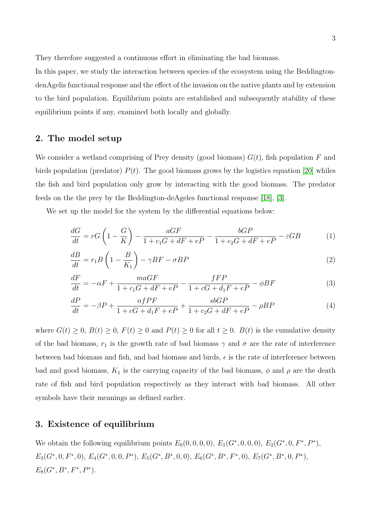They therefore suggested a continuous effort in eliminating the bad biomass.

In this paper, we study the interaction between species of the ecosystem using the BeddingtondenAgelis functional response and the effect of the invasion on the native plants and by extension to the bird population. Equilibrium points are established and subsequently stability of these equilibrium points if any, examined both locally and globally.

### 2. The model setup

We consider a wetland comprising of Prey density (good biomass)  $G(t)$ , fish population F and birds population (predator)  $P(t)$ . The good biomass grows by the logistics equation [\[20\]](#page-18-5) whiles the fish and bird population only grow by interacting with the good biomass. The predator feeds on the the prey by the Beddington-deAgeles functional response [\[18\]](#page-18-6), [\[3\]](#page-17-7).

We set up the model for the system by the differential equations below:

$$
\frac{dG}{dt} = rG\left(1 - \frac{G}{K}\right) - \frac{aGF}{1 + c_1G + dF + eP} - \frac{bGP}{1 + c_2G + dF + eP} - \varepsilon GB\tag{1}
$$

$$
\frac{dB}{dt} = r_1 B \left( 1 - \frac{B}{K_1} \right) - \gamma B F - \sigma B P \tag{2}
$$

$$
\frac{dF}{dt} = -\alpha F + \frac{maGF}{1 + c_1 G + dF + eP} - \frac{fFP}{1 + cG + d_1 F + eP} - \phi BF
$$
\n(3)

$$
\frac{dP}{dt} = -\beta P + \frac{nfPF}{1 + cG + d_1F + eP} + \frac{sbGP}{1 + c_2G + dF + eP} - \rho BP
$$
\n(4)

where  $G(t) \geq 0$ ,  $B(t) \geq 0$ ,  $F(t) \geq 0$  and  $P(t) \geq 0$  for all  $t \geq 0$ .  $B(t)$  is the cumulative density of the bad biomass,  $r_1$  is the growth rate of bad biomass  $\gamma$  and  $\sigma$  are the rate of interference between bad biomass and fish, and bad biomass and birds,  $\epsilon$  is the rate of interference between bad and good biomass,  $K_1$  is the carrying capacity of the bad biomass,  $\phi$  and  $\rho$  are the death rate of fish and bird population respectively as they interact with bad biomass. All other symbols have their meanings as defined earlier.

### 3. Existence of equilibrium

We obtain the following equilibrium points  $E_0(0, 0, 0, 0)$ ,  $E_1(G^*, 0, 0, 0)$ ,  $E_2(G^*, 0, F^*, P^*)$ ,  $E_3(G^*, 0, F^*, 0), E_4(G^*, 0, 0, P^*), E_5(G^*, B^*, 0, 0), E_6(G^*, B^*, F^*, 0), E_7(G^*, B^*, 0, P^*),$  $E_8(G^*, B^*, F^*, P^*).$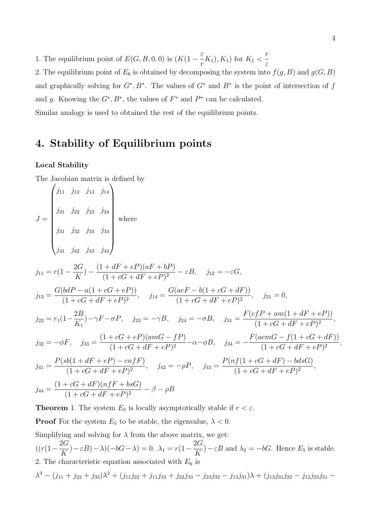1. The equilibrium point of  $E(G, B, 0, 0)$  is  $(K(1 - \frac{\varepsilon}{2}))$  $\frac{K_{1}}{r}(K_{1}), K_{1}$  for  $K_{1}$  < r ε

2. The equilibrium point of  $E_6$  is obtained by decomposing the system into  $f(g, B)$  and  $g(G, B)$ and graphically solving for  $G^*, B^*$ . The values of  $G^*$  and  $B^*$  is the point of intersection of f and g. Knowing the  $G^*, B^*$ , the values of  $F^*$  and  $P^*$  can be calculated. Similar analogy is used to obtained the rest of the equilibrium points.

# 4. Stability of Equilibrium points

### Local Stability

The Jacobian matrix is defined by

$$
J = \begin{pmatrix} j_{11} & j_{12} & j_{13} & j_{14} \\ j_{21} & j_{22} & j_{23} & j_{24} \\ j_{31} & j_{32} & j_{33} & j_{34} \\ j_{41} & j_{42} & j_{43} & j_{44} \end{pmatrix}
$$
  
\nwhere  
\n
$$
j_{11} = r(1 - \frac{2G}{K}) - \frac{(1 + dF + eP)(aF + bP)}{(1 + cG + dF + eP)^2} - \varepsilon B, \quad j_{12} = -\varepsilon G,
$$
\n
$$
j_{13} = \frac{G(bdP - a(1 + cG + eP))}{(1 + cG + dF + eP)^2}, \quad j_{14} = \frac{G(aeF - b(1 + cG + dF))}{(1 + cG + dF + eP)^2}, \quad j_{21} = 0,
$$
\n
$$
j_{22} = r_1(1 - \frac{2B}{K_1}) - \gamma F - \sigma P, \quad j_{23} = -\gamma B, \quad j_{24} = -\sigma B, \quad j_{31} = \frac{F(cfP + am(1 + dF + eP))}{(1 + cG + dF + eP)^2},
$$
\n
$$
j_{32} = -\phi F, \quad j_{33} = \frac{(1 + cG + eP)(amG - fP)}{(1 + cG + dF + eP)^2} - \alpha - \phi B, \quad j_{34} = -\frac{F(aemG - f(1 + cG + dF))}{(1 + cG + dF + eP)^2},
$$
\n
$$
j_{41} = \frac{P(sb(1 + dF + eP) - cnfF)}{(1 + cG + dF + eP)^2}, \quad j_{42} = -\rho P, \quad j_{43} = \frac{P(nf(1 + cG + dF) - b d sG)}{(1 + cG + dF + eP)^2},
$$
\n
$$
j_{44} = \frac{(1 + cG + dF)(nfF + b sG)}{(1 + cG + dF + eP)^2} - \beta - \rho B
$$

**Theorem** 1. The system  $E_5$  is locally asymptotically stable if  $r < \varepsilon$ .

**Proof** For the system  $E_5$  to be stable, the eigenvalue,  $\lambda < 0$ . Simplifying and solving for  $\lambda$  from the above matrix, we get:  $((r(1-\frac{2G}{K}))^{2})^{2})$  $(\frac{2G}{K}) - \varepsilon B - \lambda(-bG - \lambda) = 0.$   $\lambda_1 = r(1 - \frac{2G}{K})$  $(\frac{2\alpha}{K}) - \varepsilon B$  and  $\lambda_2 = -bG$ . Hence  $E_5$  is stable. 2. The characteristic equation associated with  $E_6$  is  $\lambda^3 - (j_{11} + j_{22} + j_{33})\lambda^2 + (j_{11}j_{22} + j_{11}j_{33} + j_{22}j_{33} - j_{23}j_{32} - j_{13}j_{31})\lambda + (j_{13}j_{31}j_{22} - j_{12}j_{23}j_{31} - j_{13}j_{31})\lambda$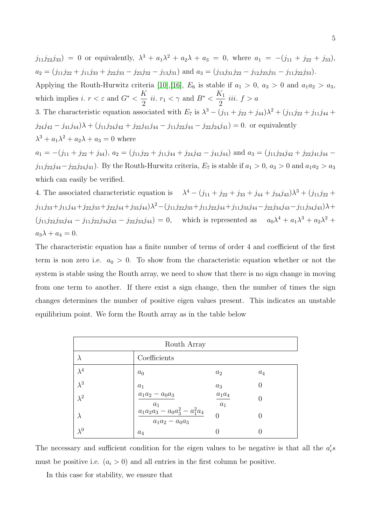$j_{11}j_{22}j_{33}$  = 0 or equivalently,  $\lambda^3 + a_1\lambda^2 + a_2\lambda + a_3 = 0$ , where  $a_1 = -(j_{11} + j_{22} + j_{33})$ ,  $a_2 = (j_{11}j_{22} + j_{11}j_{33} + j_{22}j_{33} - j_{23}j_{32} - j_{13}j_{31})$  and  $a_3 = (j_{13}j_{31}j_{22} - j_{12}j_{23}j_{31} - j_{11}j_{22}j_{33}).$ 

Applying the Routh-Hurwitz criteria [\[10\]](#page-18-7), [\[16\]](#page-18-8),  $E_6$  is stable if  $a_1 > 0$ ,  $a_3 > 0$  and  $a_1 a_2 > a_3$ , which implies i.  $r < \varepsilon$  and  $G^* < \frac{K}{2}$  $\frac{K}{2}$  *ii.*  $r_1 < \gamma$  and  $B^* < \frac{K_1}{2}$ 2 iii.  $f > a$ 

3. The characteristic equation associated with  $E_7$  is  $\lambda^3 - (j_{11} + j_{22} + j_{44})\lambda^2 + (j_{11}j_{22} + j_{11}j_{44} + j_{11}j_{45} + j_{12}j_{55})$  $j_{24}j_{42} - j_{41}j_{44}$  $\lambda + (j_{11}j_{24}j_{42} + j_{22}j_{41}j_{44} - j_{11}j_{22}j_{44} - j_{22}j_{24}j_{41}) = 0$ . or equivalently  $\lambda^3 + a_1 \lambda^2 + a_2 \lambda + a_3 = 0$  where

 $a_1 = -(j_{11} + j_{22} + j_{44}), a_2 = (j_{11}j_{22} + j_{11}j_{44} + j_{24}j_{42} - j_{41}j_{44})$  and  $a_3 = (j_{11}j_{24}j_{42} + j_{22}j_{41}j_{44} - j_{41}j_{44}j_{44})$ j<sub>11</sub>j<sub>22</sub>j<sub>44</sub>-j<sub>22</sub>j<sub>24</sub>j<sub>41</sub>). By the Routh-Hurwitz criteria,  $E_7$  is stable if  $a_1 > 0$ ,  $a_3 > 0$  and  $a_1 a_2 > a_3$ which can easily be verified.

4. The associated characteristic equation is  $\lambda^4 - (j_{11} + j_{22} + j_{33} + j_{44} + j_{34}j_{43})\lambda^3 + (j_{11}j_{22} + j_{33} + j_{44} + j_{45}j_{44})\lambda^4$  $j_{11}j_{33}+j_{11}j_{44}+j_{22}j_{33}+j_{22}j_{44}+j_{33}j_{44})\lambda^2-(j_{11}j_{22}j_{33}+j_{11}j_{22}j_{44}+j_{11}j_{33}j_{44}-j_{22}j_{34}j_{43}-j_{11}j_{34}j_{43})\lambda+$  $(j_{11}j_{22}j_{33}j_{44}-j_{11}j_{22}j_{34}j_{43}-j_{22}j_{33}j_{44})=0$ , which is represented as  $a_0\lambda^4+a_1\lambda^3+a_2\lambda^2+$  $a_3\lambda + a_4 = 0.$ 

The characteristic equation has a finite number of terms of order 4 and coefficient of the first term is non zero i.e.  $a_0 > 0$ . To show from the characteristic equation whether or not the system is stable using the Routh array, we need to show that there is no sign change in moving from one term to another. If there exist a sign change, then the number of times the sign changes determines the number of positive eigen values present. This indicates an unstable equilibrium point. We form the Routh array as in the table below

| Routh Array |                                                                                             |                   |       |
|-------------|---------------------------------------------------------------------------------------------|-------------------|-------|
| $\lambda$   | Coefficients                                                                                |                   |       |
| $\lambda^4$ | $a_0$                                                                                       | $a_2$             | $a_4$ |
| $\lambda^3$ | $a_1$                                                                                       | $a_3$             |       |
| $\lambda^2$ | $a_1a_2 - a_0a_3$                                                                           | $a_1a_4$<br>$a_1$ |       |
| $\lambda$   | $\begin{array}{r} a_1 \ a_1a_2a_3-a_0a_3^2-a_1^2a_4 \ \overline{a_1a_2-a_0a_3} \end{array}$ | 0                 |       |
| $\lambda^0$ | $a_4$                                                                                       |                   |       |

The necessary and sufficient condition for the eigen values to be negative is that all the  $a_i's$ must be positive i.e.  $(a_i > 0)$  and all entries in the first column be positive.

In this case for stability, we ensure that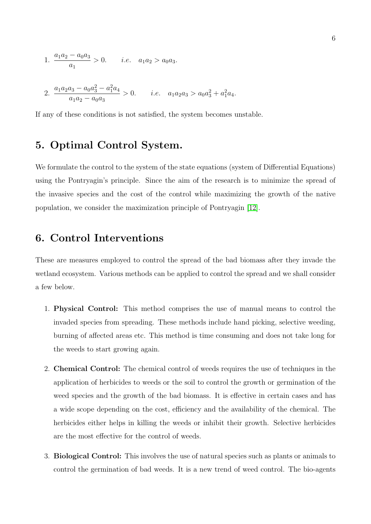1. 
$$
\frac{a_1 a_2 - a_0 a_3}{a_1} > 0.
$$
 *i.e.*  $a_1 a_2 > a_0 a_3.$   
2. 
$$
\frac{a_1 a_2 a_3 - a_0 a_3^2 - a_1^2 a_4}{a_1 a_2 - a_0 a_3} > 0.
$$
 *i.e.*  $a_1 a_2 a_3 > a_0 a_3^2 + a_1^2 a_4.$ 

If any of these conditions is not satisfied, the system becomes unstable.

# 5. Optimal Control System.

We formulate the control to the system of the state equations (system of Differential Equations) using the Pontryagin's principle. Since the aim of the research is to minimize the spread of the invasive species and the cost of the control while maximizing the growth of the native population, we consider the maximization principle of Pontryagin [\[12\]](#page-18-9).

### 6. Control Interventions

These are measures employed to control the spread of the bad biomass after they invade the wetland ecosystem. Various methods can be applied to control the spread and we shall consider a few below.

- 1. Physical Control: This method comprises the use of manual means to control the invaded species from spreading. These methods include hand picking, selective weeding, burning of affected areas etc. This method is time consuming and does not take long for the weeds to start growing again.
- 2. Chemical Control: The chemical control of weeds requires the use of techniques in the application of herbicides to weeds or the soil to control the growth or germination of the weed species and the growth of the bad biomass. It is effective in certain cases and has a wide scope depending on the cost, efficiency and the availability of the chemical. The herbicides either helps in killing the weeds or inhibit their growth. Selective herbicides are the most effective for the control of weeds.
- 3. Biological Control: This involves the use of natural species such as plants or animals to control the germination of bad weeds. It is a new trend of weed control. The bio-agents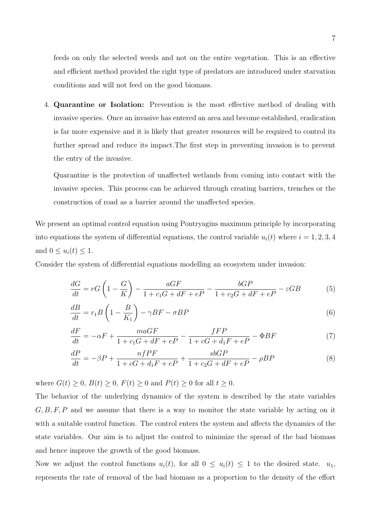feeds on only the selected weeds and not on the entire vegetation. This is an effective and efficient method provided the right type of predators are introduced under starvation conditions and will not feed on the good biomass.

4. Quarantine or Isolation: Prevention is the most effective method of dealing with invasive species. Once an invasive has entered an area and become established, eradication is far more expensive and it is likely that greater resources will be required to control its further spread and reduce its impact.The first step in preventing invasion is to prevent the entry of the invasive.

Quarantine is the protection of unaffected wetlands from coming into contact with the invasive species. This process can be achieved through creating barriers, trenches or the construction of road as a barrier around the unaffected species.

We present an optimal control equation using Pontryagins maximum principle by incorporating into equations the system of differential equations, the control variable  $u_i(t)$  where  $i = 1, 2, 3, 4$ and  $0 \leq u_i(t) \leq 1$ .

Consider the system of differential equations modelling an ecosystem under invasion:

$$
\frac{dG}{dt} = rG\left(1 - \frac{G}{K}\right) - \frac{aGF}{1 + c_1G + dF + eP} - \frac{bGP}{1 + c_2G + dF + eP} - \varepsilon GB\tag{5}
$$

$$
\frac{dB}{dt} = r_1 B \left( 1 - \frac{B}{K_1} \right) - \gamma B F - \sigma B P \tag{6}
$$

$$
\frac{dF}{dt} = -\alpha F + \frac{maGF}{1 + c_1 G + dF + eP} - \frac{fFP}{1 + cG + d_1 F + eP} - \Phi BF
$$
\n(7)

$$
\frac{dP}{dt} = -\beta P + \frac{nfPF}{1 + cG + d_1F + eP} + \frac{sbGP}{1 + c_2G + dF + eP} - \rho BP
$$
\n(8)

where  $G(t) \geq 0$ ,  $B(t) \geq 0$ ,  $F(t) \geq 0$  and  $P(t) \geq 0$  for all  $t \geq 0$ .

The behavior of the underlying dynamics of the system is described by the state variables  $G, B, F, P$  and we assume that there is a way to monitor the state variable by acting on it with a suitable control function. The control enters the system and affects the dynamics of the state variables. Our aim is to adjust the control to minimize the spread of the bad biomass and hence improve the growth of the good biomass.

Now we adjust the control functions  $u_i(t)$ , for all  $0 \leq u_i(t) \leq 1$  to the desired state.  $u_1$ , represents the rate of removal of the bad biomass as a proportion to the density of the effort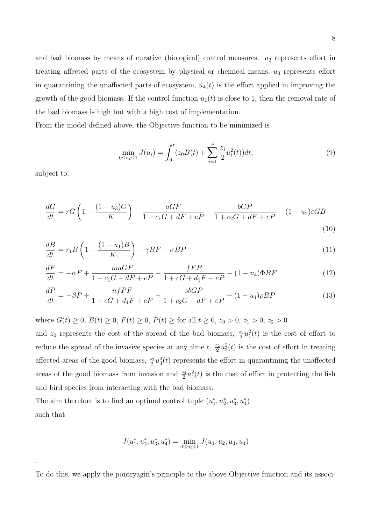and bad biomass by means of curative (biological) control measures.  $u_2$  represents effort in treating affected parts of the ecosystem by physical or chemical means,  $u_3$  represents effort in quarantining the unaffected parts of ecosystem,  $u_4(t)$  is the effort applied in improving the growth of the good biomass. If the control function  $u_1(t)$  is close to 1, then the removal rate of the bad biomass is high but with a high cost of implementation.

From the model defined above, the Objective function to be minimized is

$$
\min_{0 \le u_i \le 1} J(u_i) = \int_0^t (z_0 B(t) + \sum_{i=1}^4 \frac{z_i}{2} u_i^2(t)) dt,
$$
\n(9)

subject to:

.

$$
\frac{dG}{dt} = rG\left(1 - \frac{(1 - u_3)G}{K}\right) - \frac{aGF}{1 + c_1G + dF + eP} - \frac{bGP}{1 + c_2G + dF + eP} - (1 - u_2)\varepsilon GB\tag{10}
$$

$$
\frac{dB}{dt} = r_1 B \left( 1 - \frac{(1 - u_1)B}{K_1} \right) - \gamma BF - \sigma BP \tag{11}
$$

$$
\frac{dF}{dt} = -\alpha F + \frac{maGF}{1 + c_1 G + dF + eP} - \frac{fFP}{1 + cG + d_1 F + eP} - (1 - u_4)\Phi BF
$$
\n(12)

$$
\frac{dP}{dt} = -\beta P + \frac{nfPF}{1 + cG + d_1F + eP} + \frac{sbGP}{1 + c_2G + dF + eP} - (1 - u_4)\rho BP
$$
\n(13)

where  $G(t) \ge 0$ ,  $B(t) \ge 0$ ,  $F(t) \ge 0$ ,  $P(t) \ge$  for all  $t \ge 0$ ,  $z_0 > 0$ ,  $z_1 > 0$ ,  $z_2 > 0$ 

and  $z_0$  represents the cost of the spread of the bad biomass,  $\frac{z_1}{2}u_1^2(t)$  is the cost of effort to reduce the spread of the invasive species at any time t,  $\frac{z_2}{2}u_2^2(t)$  is the cost of effort in treating affected areas of the good biomass,  $\frac{z_3}{2}u_3^2(t)$  represents the effort in quarantining the unaffected areas of the good biomass from invasion and  $\frac{z_4}{2}u_4^2(t)$  is the cost of effort in protecting the fish and bird species from interacting with the bad biomass.

The aim therefore is to find an optimal control tuple  $(u_1^*, u_2^*, u_3^*, u_4^*)$ such that

$$
J(u_1^*, u_2^*, u_3^*, u_4^*) = \min_{0 \le u_i \le 1} J(u_1, u_2, u_3, u_4)
$$

To do this, we apply the pontryagin's principle to the above Objective function and its associ-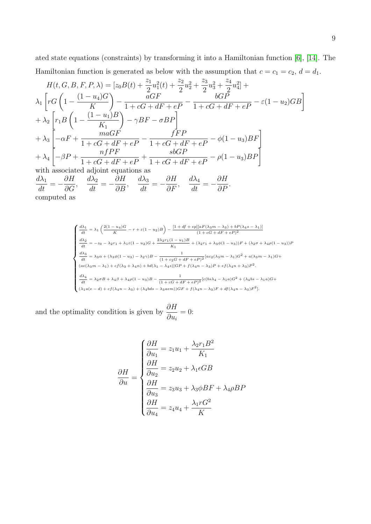ated state equations (constraints) by transforming it into a Hamiltonian function [\[6\]](#page-17-8), [\[14\]](#page-18-10). The Hamiltonian function is generated as below with the assumption that  $c = c_1 = c_2, d = d_1$ .

$$
H(t, G, B, F, P, \lambda) = [z_0 B(t) + \frac{z_1}{2} u_1^2(t) + \frac{z_2}{2} u_2^2 + \frac{z_3}{2} u_3^2 + \frac{z_4}{2} u_4^2] +
$$
  
\n
$$
\lambda_1 \left[ r G \left( 1 - \frac{(1 - u_4)G}{K} \right) - \frac{aGF}{1 + cG + dF + eP} - \frac{bGP}{1 + cG + dF + eP} - \varepsilon (1 - u_2)GB \right]
$$
  
\n
$$
+ \lambda_2 \left[ r_1 B \left( 1 - \frac{(1 - u_1)B}{K_1} \right) - \gamma BF - \sigma BP \right]
$$
  
\n
$$
+ \lambda_3 \left[ -\alpha F + \frac{maGF}{1 + cG + dF + eP} - \frac{fFP}{1 + cG + dF + eP} - \phi (1 - u_3)BF \right]
$$
  
\n
$$
+ \lambda_4 \left[ -\beta P + \frac{nfpF}{1 + cG + dF + eP} + \frac{s bGP}{1 + cG + dF + eP} - \rho (1 - u_3)BP \right]
$$
  
\nwith associated adjoint equations as  
\n
$$
\frac{d\lambda_1}{dt} = -\frac{\partial H}{\partial G}, \quad \frac{d\lambda_2}{dt} = -\frac{\partial H}{\partial B}, \quad \frac{d\lambda_3}{dt} = -\frac{\partial H}{\partial F}, \quad \frac{d\lambda_4}{dt} = -\frac{\partial H}{\partial P}.
$$
  
\ncomputed as

$$
\label{eq:2.10} \left\{ \begin{aligned} \frac{d\lambda_1}{dt} &= \lambda_1 \left(\frac{2(1-u_4)G}{K}-r+\varepsilon(1-u_2)B\right)-\frac{[1+df+e p][aF(\lambda_3m-\lambda_3)+bP(\lambda_4s-\lambda_1)]}{(1+cG+df+eP)^2} \right.\\ \frac{d\lambda_2}{dt} &= -z_0-\lambda_2r_1+\lambda_1\varepsilon(1-u_2)G+\frac{2\lambda_2r_1(1-u_1)B}{K_1}+(\lambda_2r_1+\lambda_3\phi(1-u_3))F+(\lambda_2\sigma+\lambda_4\rho(1-u_3))F\\ \frac{d\lambda_3}{dt} &= \lambda_3\alpha+(\lambda_3\phi(1-u_3)-\lambda_2\gamma)B-\frac{1}{(1+c_2G+dF+eP)^2} [ac_2(\lambda_3m-\lambda_1)G^2+a(\lambda_3m-\lambda_1)G+\\ (ae(\lambda_3m-\lambda_1)+cf(\lambda_3+\lambda_4n)+bd(\lambda_1-\lambda_4s)]GP+f(\lambda_4n-\lambda_3)P+ef(\lambda_4n+\lambda_3)P^2.\\ \frac{d\lambda_4}{dt} &= \lambda_2\sigma B+\lambda_4\beta+\lambda_4\rho(1-u_3)B-\frac{1}{(1+cG+dF+eP)^2}[c(bs\lambda_4-\lambda_1a)G^2+(\lambda_4bs-\lambda_1a)G+\\ (\lambda_1a(e-d)+cf(\lambda_4n-\lambda_3)+(\lambda_4bs-\lambda_3aem))GF+f(\lambda_4n-\lambda_3)F+df(\lambda_4n-\lambda_3)F^2]. \end{aligned} \right.
$$

and the optimality condition is given by  $\frac{\partial H}{\partial \theta}$  $\partial u_i$  $= 0$ :

$$
\frac{\partial H}{\partial u} = z_1 u_1 + \frac{\lambda_2 r_1 B^2}{K_1}
$$

$$
\frac{\partial H}{\partial u} = z_2 u_2 + \lambda_1 \epsilon G B
$$

$$
\frac{\partial H}{\partial u_3} = z_3 u_3 + \lambda_3 \phi B F + \lambda_4 \rho B F
$$

$$
\frac{\partial H}{\partial u_4} = z_4 u_4 + \frac{\lambda_1 r G^2}{K}
$$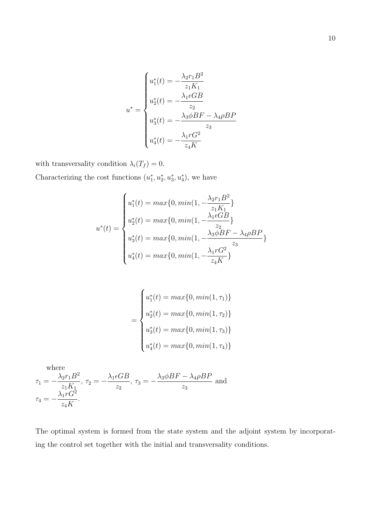$$
u^* = \begin{cases} u_1^*(t) = -\frac{\lambda_2 r_1 B^2}{z_1 K_1} \\ u_2^*(t) = -\frac{\lambda_1 \epsilon G B}{z_2} \\ u_3^*(t) = -\frac{\lambda_3 \phi B F - \lambda_4 \rho B P}{z_3} \\ u_4^*(t) = -\frac{\lambda_1 r G^2}{z_4 K} \end{cases}
$$

with transversality condition  $\lambda_i(T_f) = 0$ . Characterizing the cost functions  $(u_1^*, u_2^*, u_3^*, u_4^*)$ , we have

$$
u^*(t) = \begin{cases} u_1^*(t) = \max\{0, \min(1, -\frac{\lambda_2 r_1 B^2}{z_1 K_1}\} \\ u_2^*(t) = \max\{0, \min(1, -\frac{\lambda_1 \epsilon GB}{z_2}\} \\ u_3^*(t) = \max\{0, \min(1, -\frac{\lambda_3 \phi BF - \lambda_4 \rho BP}{z_3}\} \\ u_4^*(t) = \max\{0, \min(1, -\frac{\lambda_1 r G^2}{z_4 K}\} \end{cases}
$$

$$
= \begin{cases} u_1^*(t) = \max\{0, \min(1, \tau_1)\} \\ u_2^*(t) = \max\{0, \min(1, \tau_2)\} \\ u_3^*(t) = \max\{0, \min(1, \tau_3)\} \\ u_4^*(t) = \max\{0, \min(1, \tau_4)\} \end{cases}
$$

where  
\n
$$
\tau_1 = -\frac{\lambda_2 r_1 B^2}{z_1 K_1}, \tau_2 = -\frac{\lambda_1 \epsilon GB}{z_2}, \tau_3 = -\frac{\lambda_3 \phi BF - \lambda_4 \rho BP}{z_3}
$$
 and  
\n
$$
\tau_4 = -\frac{\lambda_1 r G^2}{z_4 K}.
$$

The optimal system is formed from the state system and the adjoint system by incorporating the control set together with the initial and transversality conditions.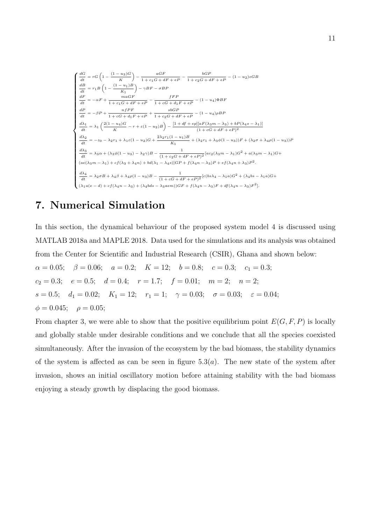$$
\begin{cases}\n\frac{dG}{dt} = rG\left(1 - \frac{(1 - u_3)G}{K}\right) - \frac{aGF}{1 + c_1G + dF + eP} - \frac{bGP}{1 + c_2G + dF + eP} - (1 - u_2)\varepsilon GB \\
\frac{dB}{dt} = r_1B\left(1 - \frac{(1 - u_1)B}{K_1}\right) - \gamma BF - \sigma BP \\
\frac{dF}{dt} = -\alpha F + \frac{maGF}{1 + c_1G + dF + eP} - \frac{fFP}{1 + cG + d_1F + eP} - (1 - u_4)\Phi BF \\
\frac{dP}{dt} = -\beta P + \frac{n fPF}{1 + cG + d_1F + eP} + \frac{sbGP}{1 + c_2G + dF + eP} - (1 - u_4)\rho BP \\
\frac{d\lambda_1}{dt} = \lambda_1 \left(\frac{2(1 - u_4)G}{K} - r + \varepsilon(1 - u_2)B\right) - \frac{[1 + df + e p][aF(\lambda_3 m - \lambda_3) + bP(\lambda_4 s - \lambda_1)]}{(1 + cG + dF + eP)^2} \\
\frac{d\lambda_2}{dt} = -z_0 - \lambda_2 r_1 + \lambda_1 \varepsilon (1 - u_2)G + \frac{2\lambda_2 r_1 (1 - u_1)B}{K_1} + (\lambda_2 r_1 + \lambda_3 \phi(1 - u_3))F + (\lambda_2 \sigma + \lambda_4 \rho(1 - u_3))F \\
\frac{d\lambda_3}{dt} = \lambda_3 \alpha + (\lambda_3 \phi(1 - u_3) - \lambda_2 \gamma)B - \frac{1}{(1 + c_2G + dF + eP)^2} [ac_2(\lambda_3 m - \lambda_1)G^2 + a(\lambda_3 m - \lambda_1)G + (ae(\lambda_3 m - \lambda_1) + cf(\lambda_3 + \lambda_4 n) + bd(\lambda_1 - \lambda_4 s)]GP + f(\lambda_4 n - \lambda_3)P + ef(\lambda_4 n + \lambda_3)P^2.\n\end{cases}
$$
\n
$$
\begin{cases}\n\frac{d\lambda_4}{dt} = \lambda_2 \sigma B + \lambda_4 \beta + \lambda_4 \rho(1 - u_3)B - \frac{1}{(1 + cG + dF + eP)^2} [c(bs\lambda_4 - \lambda_1 a)G^2 + (\lambda_4 bs - \lambda_1 a)G +
$$

# 7. Numerical Simulation

In this section, the dynamical behaviour of the proposed system model 4 is discussed using MATLAB 2018a and MAPLE 2018. Data used for the simulations and its analysis was obtained from the Center for Scientific and Industrial Research (CSIR), Ghana and shown below:

 $\alpha = 0.05; \quad \beta = 0.06; \quad a = 0.2; \quad K = 12; \quad b = 0.8; \quad c = 0.3; \quad c_1 = 0.3;$  $c_2 = 0.3; \quad e = 0.5; \quad d = 0.4; \quad r = 1.7; \quad f = 0.01; \quad m = 2; \quad n = 2;$ s = 0.5;  $d_1 = 0.02$ ;  $K_1 = 12$ ;  $r_1 = 1$ ;  $\gamma = 0.03$ ;  $\sigma = 0.03$ ;  $\varepsilon = 0.04$ ;  $\phi = 0.045; \quad \rho = 0.05;$ 

From chapter 3, we were able to show that the positive equilibrium point  $E(G, F, P)$  is locally and globally stable under desirable conditions and we conclude that all the species coexisted simultaneously. After the invasion of the ecosystem by the bad biomass, the stability dynamics of the system is affected as can be seen in figure  $5.3(a)$ . The new state of the system after invasion, shows an initial oscillatory motion before attaining stability with the bad biomass enjoying a steady growth by displacing the good biomass.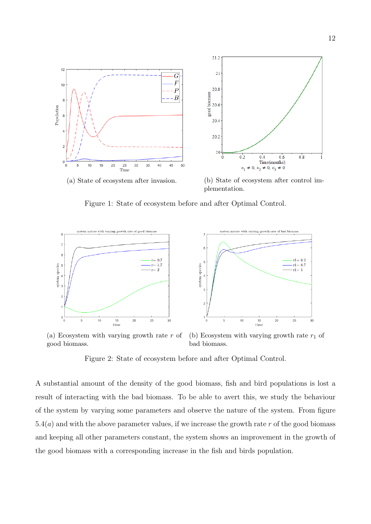

Figure 1: State of ecosystem before and after Optimal Control.



(a) Ecosystem with varying growth rate  $r$  of good biomass.

(b) Ecosystem with varying growth rate  $r_1$  of bad biomass.

Figure 2: State of ecosystem before and after Optimal Control.

A substantial amount of the density of the good biomass, fish and bird populations is lost a result of interacting with the bad biomass. To be able to avert this, we study the behaviour of the system by varying some parameters and observe the nature of the system. From figure  $5.4(a)$  and with the above parameter values, if we increase the growth rate r of the good biomass and keeping all other parameters constant, the system shows an improvement in the growth of the good biomass with a corresponding increase in the fish and birds population.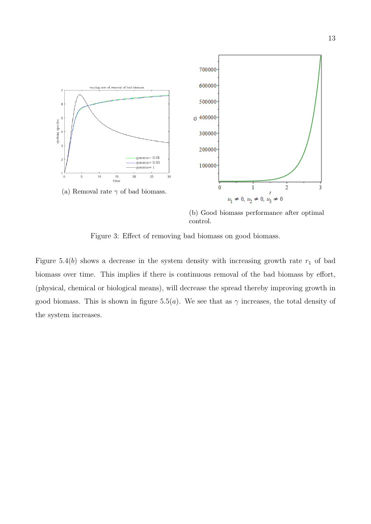

(b) Good biomass performance after optimal control.

Figure 3: Effect of removing bad biomass on good biomass.

Figure 5.4(b) shows a decrease in the system density with increasing growth rate  $r_1$  of bad biomass over time. This implies if there is continuous removal of the bad biomass by effort, (physical, chemical or biological means), will decrease the spread thereby improving growth in good biomass. This is shown in figure 5.5(a). We see that as  $\gamma$  increases, the total density of the system increases.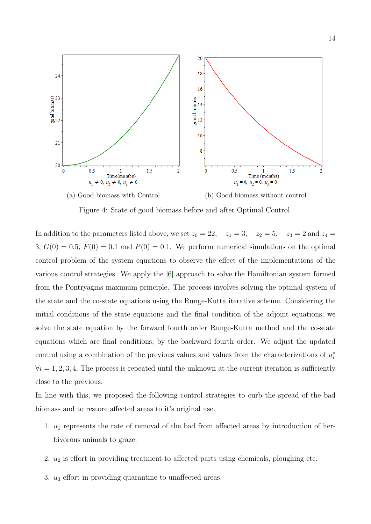

Figure 4: State of good biomass before and after Optimal Control.

In addition to the parameters listed above, we set  $z_0 = 22$ ,  $z_1 = 3$ ,  $z_2 = 5$ ,  $z_3 = 2$  and  $z_4 =$ 3,  $G(0) = 0.5$ ,  $F(0) = 0.1$  and  $P(0) = 0.1$ . We perform numerical simulations on the optimal control problem of the system equations to observe the effect of the implementations of the various control strategies. We apply the [\[6\]](#page-17-8) approach to solve the Hamiltonian system formed from the Pontryagins maximum principle. The process involves solving the optimal system of the state and the co-state equations using the Runge-Kutta iterative scheme. Considering the initial conditions of the state equations and the final condition of the adjoint equations, we solve the state equation by the forward fourth order Runge-Kutta method and the co-state equations which are final conditions, by the backward fourth order. We adjust the updated control using a combination of the previous values and values from the characterizations of  $u_i^*$  $\forall i = 1, 2, 3, 4$ . The process is repeated until the unknown at the current iteration is sufficiently close to the previous.

In line with this, we proposed the following control strategies to curb the spread of the bad biomass and to restore affected areas to it's original use.

- 1.  $u_1$  represents the rate of removal of the bad from affected areas by introduction of herbivorous animals to graze.
- 2.  $u_2$  is effort in providing treatment to affected parts using chemicals, ploughing etc.
- 3.  $u_3$  effort in providing quarantine to unaffected areas.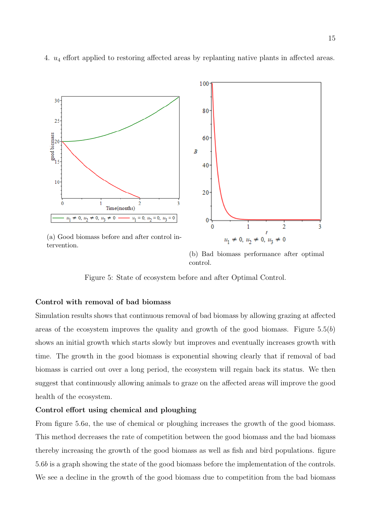

4. u<sup>4</sup> effort applied to restoring affected areas by replanting native plants in affected areas.

(a) Good biomass before and after control intervention.

(b) Bad biomass performance after optimal control.

Figure 5: State of ecosystem before and after Optimal Control.

### Control with removal of bad biomass

Simulation results shows that continuous removal of bad biomass by allowing grazing at affected areas of the ecosystem improves the quality and growth of the good biomass. Figure  $5.5(b)$ shows an initial growth which starts slowly but improves and eventually increases growth with time. The growth in the good biomass is exponential showing clearly that if removal of bad biomass is carried out over a long period, the ecosystem will regain back its status. We then suggest that continuously allowing animals to graze on the affected areas will improve the good health of the ecosystem.

#### Control effort using chemical and ploughing

From figure 5.6a, the use of chemical or ploughing increases the growth of the good biomass. This method decreases the rate of competition between the good biomass and the bad biomass thereby increasing the growth of the good biomass as well as fish and bird populations. figure 5.6b is a graph showing the state of the good biomass before the implementation of the controls. We see a decline in the growth of the good biomass due to competition from the bad biomass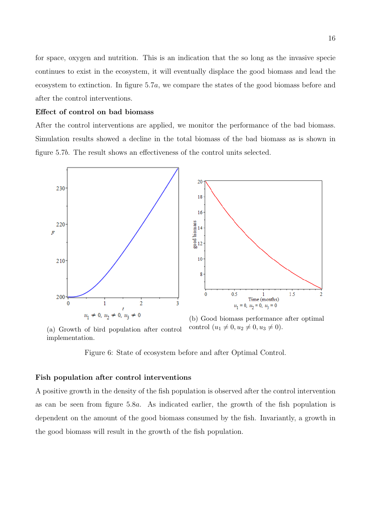for space, oxygen and nutrition. This is an indication that the so long as the invasive specie continues to exist in the ecosystem, it will eventually displace the good biomass and lead the ecosystem to extinction. In figure 5.7a, we compare the states of the good biomass before and after the control interventions.

### Effect of control on bad biomass

After the control interventions are applied, we monitor the performance of the bad biomass. Simulation results showed a decline in the total biomass of the bad biomass as is shown in figure 5.7b. The result shows an effectiveness of the control units selected.



(a) Growth of bird population after control implementation.

(b) Good biomass performance after optimal control  $(u_1 \neq 0, u_2 \neq 0, u_3 \neq 0).$ 

Figure 6: State of ecosystem before and after Optimal Control.

### Fish population after control interventions

A positive growth in the density of the fish population is observed after the control intervention as can be seen from figure 5.8a. As indicated earlier, the growth of the fish population is dependent on the amount of the good biomass consumed by the fish. Invariantly, a growth in the good biomass will result in the growth of the fish population.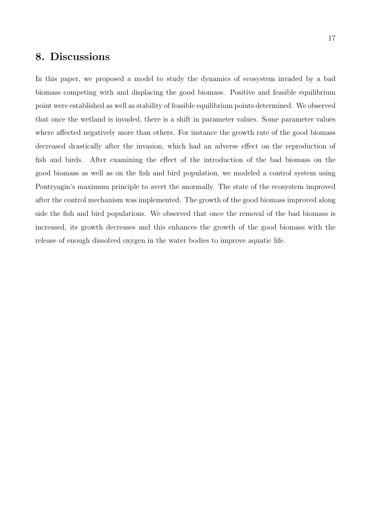# 8. Discussions

In this paper, we proposed a model to study the dynamics of ecosystem invaded by a bad biomass competing with and displacing the good biomass. Positive and feasible equilibrium point were established as well as stability of feasible equilibrium points determined. We observed that once the wetland is invaded, there is a shift in parameter values. Some parameter values where affected negatively more than others. For instance the growth rate of the good biomass decreased drastically after the invasion, which had an adverse effect on the reproduction of fish and birds. After examining the effect of the introduction of the bad biomass on the good biomass as well as on the fish and bird population, we modeled a control system using Pontryagin's maximum principle to avert the anormally. The state of the ecosystem improved after the control mechanism was implemented. The growth of the good biomass improved along side the fish and bird populations. We observed that once the removal of the bad biomass is increased, its growth decreases and this enhances the growth of the good biomass with the release of enough dissolved oxygen in the water bodies to improve aquatic life.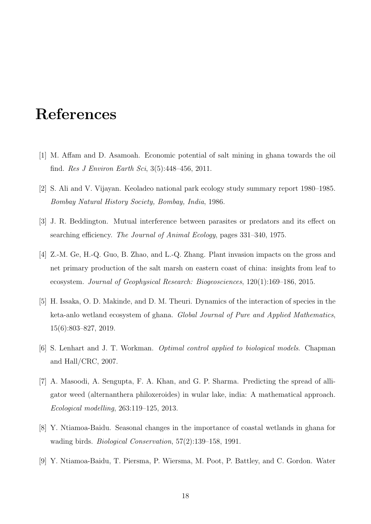# References

- <span id="page-17-0"></span>[1] M. Affam and D. Asamoah. Economic potential of salt mining in ghana towards the oil find. *Res J Environ Earth Sci*,  $3(5):448-456$ , 2011.
- <span id="page-17-6"></span>[2] S. Ali and V. Vijayan. Keoladeo national park ecology study summary report 1980–1985. Bombay Natural History Society, Bombay, India, 1986.
- <span id="page-17-7"></span>[3] J. R. Beddington. Mutual interference between parasites or predators and its effect on searching efficiency. The Journal of Animal Ecology, pages 331–340, 1975.
- <span id="page-17-5"></span>[4] Z.-M. Ge, H.-Q. Guo, B. Zhao, and L.-Q. Zhang. Plant invasion impacts on the gross and net primary production of the salt marsh on eastern coast of china: insights from leaf to ecosystem. Journal of Geophysical Research: Biogeosciences, 120(1):169–186, 2015.
- <span id="page-17-4"></span>[5] H. Issaka, O. D. Makinde, and D. M. Theuri. Dynamics of the interaction of species in the keta-anlo wetland ecosystem of ghana. Global Journal of Pure and Applied Mathematics, 15(6):803–827, 2019.
- <span id="page-17-8"></span>[6] S. Lenhart and J. T. Workman. Optimal control applied to biological models. Chapman and Hall/CRC, 2007.
- <span id="page-17-3"></span>[7] A. Masoodi, A. Sengupta, F. A. Khan, and G. P. Sharma. Predicting the spread of alligator weed (alternanthera philoxeroides) in wular lake, india: A mathematical approach. Ecological modelling, 263:119–125, 2013.
- <span id="page-17-1"></span>[8] Y. Ntiamoa-Baidu. Seasonal changes in the importance of coastal wetlands in ghana for wading birds. Biological Conservation, 57(2):139–158, 1991.
- <span id="page-17-2"></span>[9] Y. Ntiamoa-Baidu, T. Piersma, P. Wiersma, M. Poot, P. Battley, and C. Gordon. Water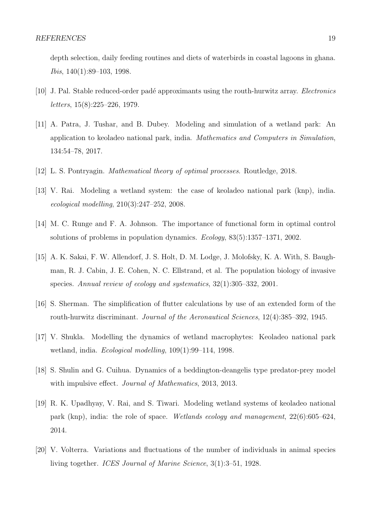depth selection, daily feeding routines and diets of waterbirds in coastal lagoons in ghana. Ibis, 140(1):89–103, 1998.

- <span id="page-18-7"></span>[10] J. Pal. Stable reduced-order padé approximants using the routh-hurwitz array. *Electronics* letters, 15(8):225–226, 1979.
- <span id="page-18-3"></span>[11] A. Patra, J. Tushar, and B. Dubey. Modeling and simulation of a wetland park: An application to keoladeo national park, india. Mathematics and Computers in Simulation, 134:54–78, 2017.
- <span id="page-18-9"></span>[12] L. S. Pontryagin. Mathematical theory of optimal processes. Routledge, 2018.
- <span id="page-18-1"></span>[13] V. Rai. Modeling a wetland system: the case of keoladeo national park (knp), india. ecological modelling, 210(3):247–252, 2008.
- <span id="page-18-10"></span>[14] M. C. Runge and F. A. Johnson. The importance of functional form in optimal control solutions of problems in population dynamics. Ecology, 83(5):1357–1371, 2002.
- <span id="page-18-2"></span>[15] A. K. Sakai, F. W. Allendorf, J. S. Holt, D. M. Lodge, J. Molofsky, K. A. With, S. Baughman, R. J. Cabin, J. E. Cohen, N. C. Ellstrand, et al. The population biology of invasive species. Annual review of ecology and systematics, 32(1):305–332, 2001.
- <span id="page-18-8"></span>[16] S. Sherman. The simplification of flutter calculations by use of an extended form of the routh-hurwitz discriminant. Journal of the Aeronautical Sciences, 12(4):385–392, 1945.
- <span id="page-18-4"></span>[17] V. Shukla. Modelling the dynamics of wetland macrophytes: Keoladeo national park wetland, india. Ecological modelling, 109(1):99–114, 1998.
- <span id="page-18-6"></span>[18] S. Shulin and G. Cuihua. Dynamics of a beddington-deangelis type predator-prey model with impulsive effect. *Journal of Mathematics*, 2013, 2013.
- <span id="page-18-0"></span>[19] R. K. Upadhyay, V. Rai, and S. Tiwari. Modeling wetland systems of keoladeo national park (knp), india: the role of space. Wetlands ecology and management, 22(6):605–624, 2014.
- <span id="page-18-5"></span>[20] V. Volterra. Variations and fluctuations of the number of individuals in animal species living together. ICES Journal of Marine Science, 3(1):3–51, 1928.